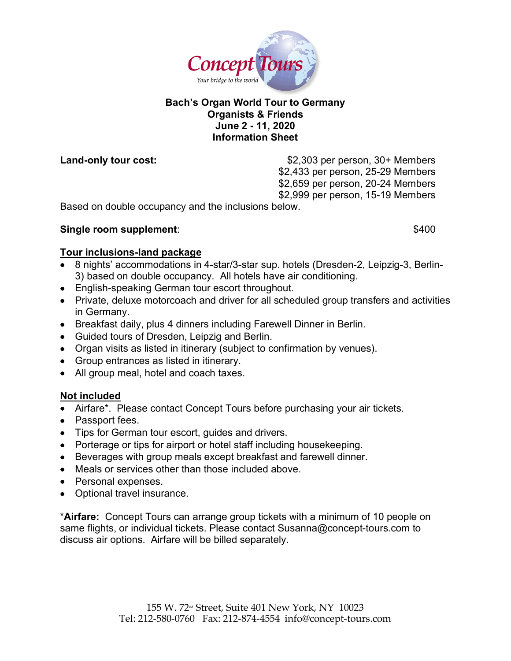

## **Bach's Organ World Tour to Germany Organists & Friends June 2 - 11, 2020 Information Sheet**

Land-only tour cost:  $$2,303$  per person, 30+ Members \$2,433 per person, 25-29 Members \$2,659 per person, 20-24 Members \$2,999 per person, 15-19 Members

Based on double occupancy and the inclusions below.

## **Single room supplement:**  $$400$

## **Tour inclusions-land package**

- 8 nights' accommodations in 4-star/3-star sup. hotels (Dresden-2, Leipzig-3, Berlin-3) based on double occupancy. All hotels have air conditioning.
- English-speaking German tour escort throughout.
- Private, deluxe motorcoach and driver for all scheduled group transfers and activities in Germany.
- Breakfast daily, plus 4 dinners including Farewell Dinner in Berlin.
- Guided tours of Dresden, Leipzig and Berlin.
- Organ visits as listed in itinerary (subject to confirmation by venues).
- Group entrances as listed in itinerary.
- All group meal, hotel and coach taxes.

# **Not included**

- Airfare\*. Please contact Concept Tours before purchasing your air tickets.
- Passport fees.
- Tips for German tour escort, guides and drivers.
- Porterage or tips for airport or hotel staff including housekeeping.
- Beverages with group meals except breakfast and farewell dinner.
- Meals or services other than those included above.
- Personal expenses.
- Optional travel insurance.

\***Airfare:** Concept Tours can arrange group tickets with a minimum of 10 people on same flights, or individual tickets. Please contact Susanna@concept-tours.com to discuss air options. Airfare will be billed separately.